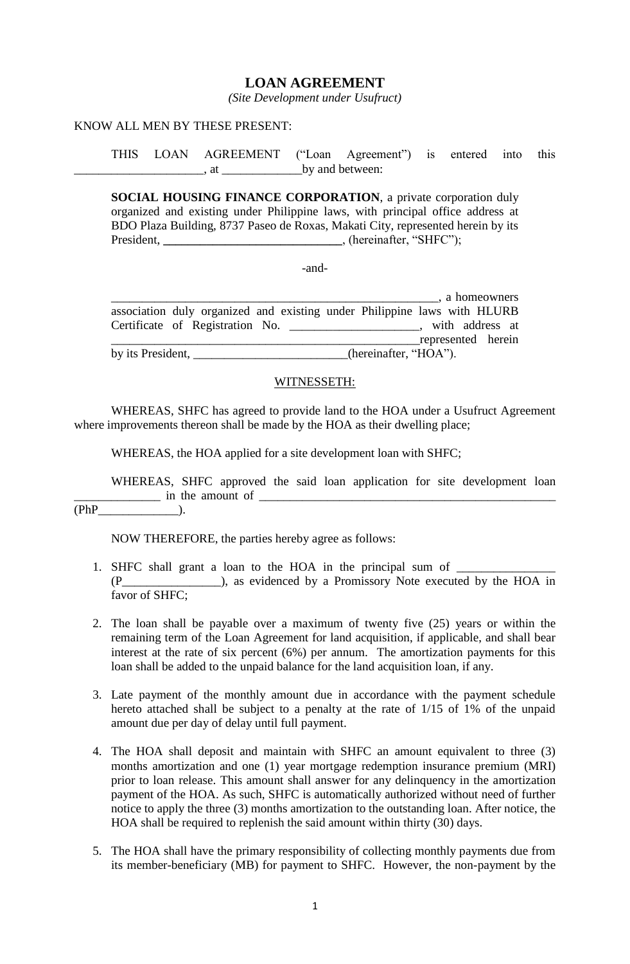## **LOAN AGREEMENT**

*(Site Development under Usufruct)*

#### KNOW ALL MEN BY THESE PRESENT:

THIS LOAN AGREEMENT ("Loan Agreement") is entered into this \_\_\_\_\_\_\_\_\_\_\_\_\_\_\_\_\_\_\_\_\_, at \_\_\_\_\_\_\_\_\_\_\_\_\_by and between:

**SOCIAL HOUSING FINANCE CORPORATION**, a private corporation duly organized and existing under Philippine laws, with principal office address at BDO Plaza Building, 8737 Paseo de Roxas, Makati City, represented herein by its President, \_\_\_\_\_\_\_\_\_\_\_\_\_\_\_\_\_\_\_\_\_\_\_\_\_\_\_\_\_\_, (hereinafter, "SHFC");

-and-

|                   |                                                                          |                       |  |  |  | , a homeowners     |  |
|-------------------|--------------------------------------------------------------------------|-----------------------|--|--|--|--------------------|--|
|                   | association duly organized and existing under Philippine laws with HLURB |                       |  |  |  |                    |  |
|                   | Certificate of Registration No. _______________                          |                       |  |  |  | with address at    |  |
|                   |                                                                          |                       |  |  |  | represented herein |  |
| by its President, |                                                                          | (hereinafter, "HOA"). |  |  |  |                    |  |

#### WITNESSETH:

WHEREAS, SHFC has agreed to provide land to the HOA under a Usufruct Agreement where improvements thereon shall be made by the HOA as their dwelling place;

WHEREAS, the HOA applied for a site development loan with SHFC;

WHEREAS, SHFC approved the said loan application for site development loan  $\blacksquare$  in the amount of  $\blacksquare$ 

 $(PhP$   $)$ .

NOW THEREFORE, the parties hereby agree as follows:

- 1. SHFC shall grant a loan to the HOA in the principal sum of \_\_\_\_\_\_\_\_\_\_\_\_\_\_\_\_\_\_ (P\_\_\_\_\_\_\_\_\_\_\_\_\_\_\_\_), as evidenced by a Promissory Note executed by the HOA in favor of SHFC:
- 2. The loan shall be payable over a maximum of twenty five (25) years or within the remaining term of the Loan Agreement for land acquisition, if applicable, and shall bear interest at the rate of six percent (6%) per annum. The amortization payments for this loan shall be added to the unpaid balance for the land acquisition loan, if any.
- 3. Late payment of the monthly amount due in accordance with the payment schedule hereto attached shall be subject to a penalty at the rate of 1/15 of 1% of the unpaid amount due per day of delay until full payment.
- 4. The HOA shall deposit and maintain with SHFC an amount equivalent to three (3) months amortization and one (1) year mortgage redemption insurance premium (MRI) prior to loan release. This amount shall answer for any delinquency in the amortization payment of the HOA. As such, SHFC is automatically authorized without need of further notice to apply the three (3) months amortization to the outstanding loan. After notice, the HOA shall be required to replenish the said amount within thirty (30) days.
- 5. The HOA shall have the primary responsibility of collecting monthly payments due from its member-beneficiary (MB) for payment to SHFC. However, the non-payment by the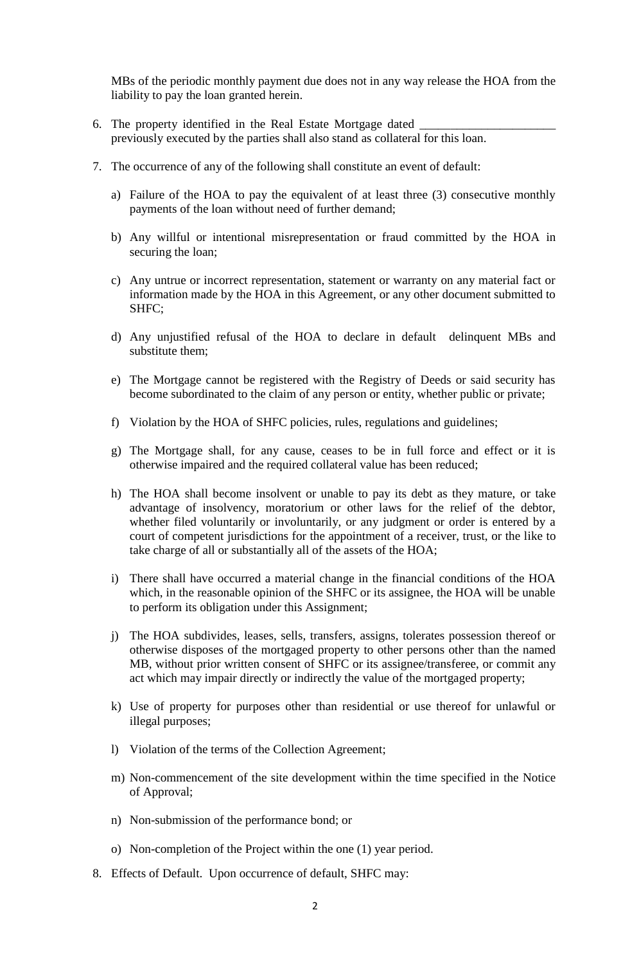MBs of the periodic monthly payment due does not in any way release the HOA from the liability to pay the loan granted herein.

- 6. The property identified in the Real Estate Mortgage dated previously executed by the parties shall also stand as collateral for this loan.
- 7. The occurrence of any of the following shall constitute an event of default:
	- a) Failure of the HOA to pay the equivalent of at least three (3) consecutive monthly payments of the loan without need of further demand;
	- b) Any willful or intentional misrepresentation or fraud committed by the HOA in securing the loan;
	- c) Any untrue or incorrect representation, statement or warranty on any material fact or information made by the HOA in this Agreement, or any other document submitted to SHFC;
	- d) Any unjustified refusal of the HOA to declare in default delinquent MBs and substitute them;
	- e) The Mortgage cannot be registered with the Registry of Deeds or said security has become subordinated to the claim of any person or entity, whether public or private;
	- f) Violation by the HOA of SHFC policies, rules, regulations and guidelines;
	- g) The Mortgage shall, for any cause, ceases to be in full force and effect or it is otherwise impaired and the required collateral value has been reduced;
	- h) The HOA shall become insolvent or unable to pay its debt as they mature, or take advantage of insolvency, moratorium or other laws for the relief of the debtor, whether filed voluntarily or involuntarily, or any judgment or order is entered by a court of competent jurisdictions for the appointment of a receiver, trust, or the like to take charge of all or substantially all of the assets of the HOA;
	- i) There shall have occurred a material change in the financial conditions of the HOA which, in the reasonable opinion of the SHFC or its assignee, the HOA will be unable to perform its obligation under this Assignment;
	- j) The HOA subdivides, leases, sells, transfers, assigns, tolerates possession thereof or otherwise disposes of the mortgaged property to other persons other than the named MB, without prior written consent of SHFC or its assignee/transferee, or commit any act which may impair directly or indirectly the value of the mortgaged property;
	- k) Use of property for purposes other than residential or use thereof for unlawful or illegal purposes;
	- l) Violation of the terms of the Collection Agreement;
	- m) Non-commencement of the site development within the time specified in the Notice of Approval;
	- n) Non-submission of the performance bond; or
	- o) Non-completion of the Project within the one (1) year period.
- 8. Effects of Default. Upon occurrence of default, SHFC may: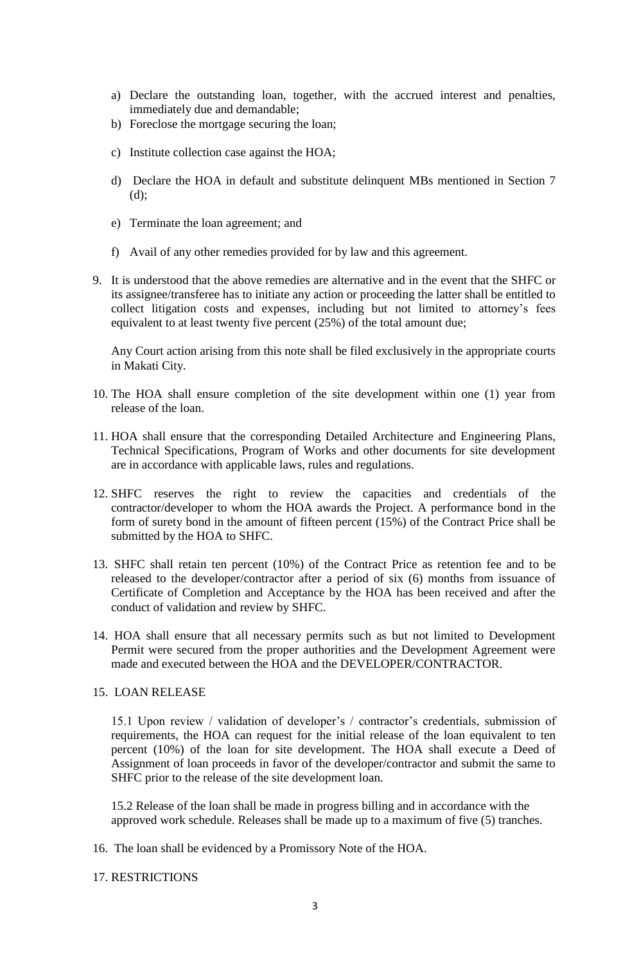- a) Declare the outstanding loan, together, with the accrued interest and penalties, immediately due and demandable;
- b) Foreclose the mortgage securing the loan;
- c) Institute collection case against the HOA;
- d) Declare the HOA in default and substitute delinquent MBs mentioned in Section 7 (d);
- e) Terminate the loan agreement; and
- f) Avail of any other remedies provided for by law and this agreement.
- 9. It is understood that the above remedies are alternative and in the event that the SHFC or its assignee/transferee has to initiate any action or proceeding the latter shall be entitled to collect litigation costs and expenses, including but not limited to attorney's fees equivalent to at least twenty five percent (25%) of the total amount due;

Any Court action arising from this note shall be filed exclusively in the appropriate courts in Makati City.

- 10. The HOA shall ensure completion of the site development within one (1) year from release of the loan.
- 11. HOA shall ensure that the corresponding Detailed Architecture and Engineering Plans, Technical Specifications, Program of Works and other documents for site development are in accordance with applicable laws, rules and regulations.
- 12. SHFC reserves the right to review the capacities and credentials of the contractor/developer to whom the HOA awards the Project. A performance bond in the form of surety bond in the amount of fifteen percent (15%) of the Contract Price shall be submitted by the HOA to SHFC.
- 13. SHFC shall retain ten percent (10%) of the Contract Price as retention fee and to be released to the developer/contractor after a period of six (6) months from issuance of Certificate of Completion and Acceptance by the HOA has been received and after the conduct of validation and review by SHFC.
- 14. HOA shall ensure that all necessary permits such as but not limited to Development Permit were secured from the proper authorities and the Development Agreement were made and executed between the HOA and the DEVELOPER/CONTRACTOR.

#### 15. LOAN RELEASE

15.1 Upon review / validation of developer's / contractor's credentials, submission of requirements, the HOA can request for the initial release of the loan equivalent to ten percent (10%) of the loan for site development. The HOA shall execute a Deed of Assignment of loan proceeds in favor of the developer/contractor and submit the same to SHFC prior to the release of the site development loan.

15.2 Release of the loan shall be made in progress billing and in accordance with the approved work schedule. Releases shall be made up to a maximum of five (5) tranches.

16. The loan shall be evidenced by a Promissory Note of the HOA.

### 17. RESTRICTIONS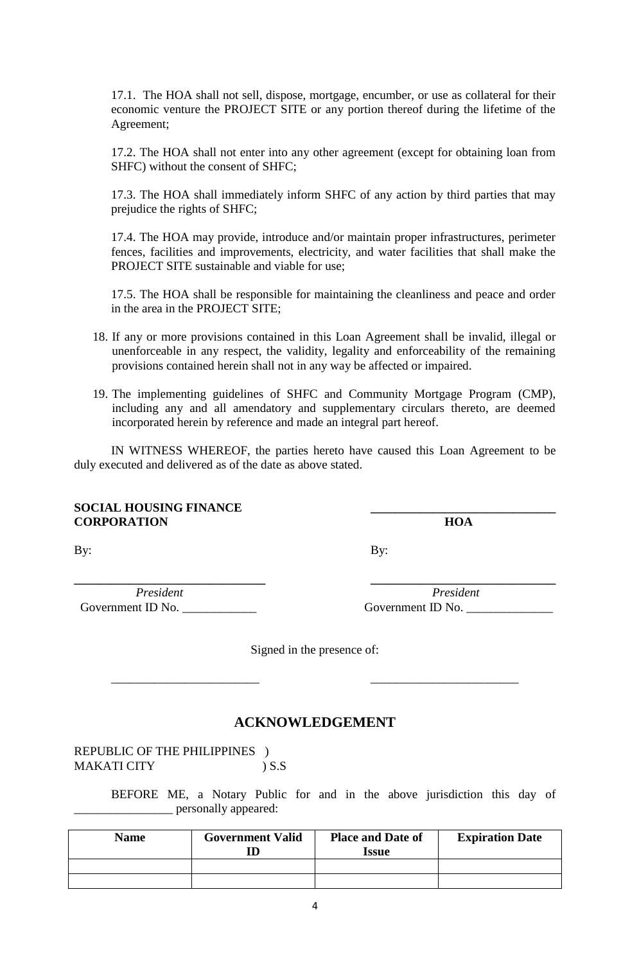17.1. The HOA shall not sell, dispose, mortgage, encumber, or use as collateral for their economic venture the PROJECT SITE or any portion thereof during the lifetime of the Agreement;

17.2. The HOA shall not enter into any other agreement (except for obtaining loan from SHFC) without the consent of SHFC;

17.3. The HOA shall immediately inform SHFC of any action by third parties that may prejudice the rights of SHFC;

17.4. The HOA may provide, introduce and/or maintain proper infrastructures, perimeter fences, facilities and improvements, electricity, and water facilities that shall make the PROJECT SITE sustainable and viable for use;

17.5. The HOA shall be responsible for maintaining the cleanliness and peace and order in the area in the PROJECT SITE;

- 18. If any or more provisions contained in this Loan Agreement shall be invalid, illegal or unenforceable in any respect, the validity, legality and enforceability of the remaining provisions contained herein shall not in any way be affected or impaired.
- 19. The implementing guidelines of SHFC and Community Mortgage Program (CMP), including any and all amendatory and supplementary circulars thereto, are deemed incorporated herein by reference and made an integral part hereof.

IN WITNESS WHEREOF, the parties hereto have caused this Loan Agreement to be duly executed and delivered as of the date as above stated.

#### **SOCIAL HOUSING FINANCE CORPORATION HOA**

By: By:

*President President* Government ID No. \_\_\_\_\_\_\_\_\_\_\_\_ Government ID No. \_\_\_\_\_\_\_\_\_\_\_\_\_\_

**\_\_\_\_\_\_\_\_\_\_\_\_\_\_\_\_\_\_\_\_\_\_\_\_\_\_\_\_\_\_\_ \_\_\_\_\_\_\_\_\_\_\_\_\_\_\_\_\_\_\_\_\_\_\_\_\_\_\_\_\_\_**

Signed in the presence of:

\_\_\_\_\_\_\_\_\_\_\_\_\_\_\_\_\_\_\_\_\_\_\_\_ \_\_\_\_\_\_\_\_\_\_\_\_\_\_\_\_\_\_\_\_\_\_\_\_

# **ACKNOWLEDGEMENT**

REPUBLIC OF THE PHILIPPINES ) MAKATI CITY ) S.S

> BEFORE ME, a Notary Public for and in the above jurisdiction this day of \_\_\_\_\_\_\_\_\_\_\_\_\_\_\_\_ personally appeared:

| <b>Name</b> | <b>Government Valid</b> | <b>Place and Date of</b><br>Issue | <b>Expiration Date</b> |
|-------------|-------------------------|-----------------------------------|------------------------|
|             |                         |                                   |                        |
|             |                         |                                   |                        |